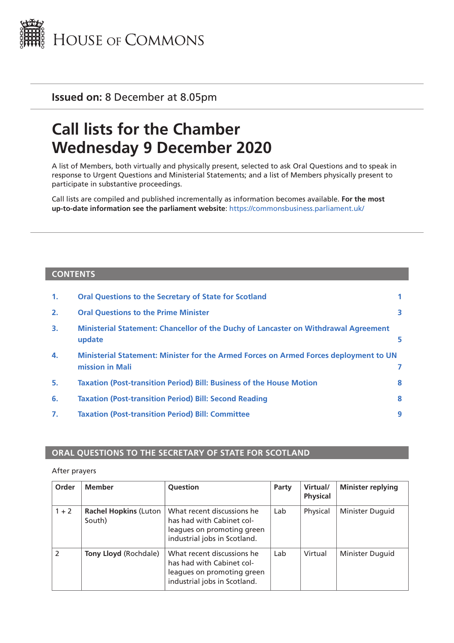

**Issued on:** 8 December at 8.05pm

# **Call lists for the Chamber Wednesday 9 December 2020**

A list of Members, both virtually and physically present, selected to ask Oral Questions and to speak in response to Urgent Questions and Ministerial Statements; and a list of Members physically present to participate in substantive proceedings.

Call lists are compiled and published incrementally as information becomes available. **For the most up-to-date information see the parliament website**: <https://commonsbusiness.parliament.uk/>

#### **CONTENTS**

| $\mathbf{1}$ . | <b>Oral Questions to the Secretary of State for Scotland</b>                                             |   |
|----------------|----------------------------------------------------------------------------------------------------------|---|
| 2.             | <b>Oral Questions to the Prime Minister</b>                                                              | 3 |
| 3.             | Ministerial Statement: Chancellor of the Duchy of Lancaster on Withdrawal Agreement<br>update            |   |
| 4.             | Ministerial Statement: Minister for the Armed Forces on Armed Forces deployment to UN<br>mission in Mali |   |
| 5.             | <b>Taxation (Post-transition Period) Bill: Business of the House Motion</b>                              | 8 |
| 6.             | <b>Taxation (Post-transition Period) Bill: Second Reading</b>                                            | 8 |
| 7.             | <b>Taxation (Post-transition Period) Bill: Committee</b>                                                 | 9 |

#### **ORAL QUESTIONS TO THE SECRETARY OF STATE FOR SCOTLAND**

#### After prayers

| Order          | <b>Member</b>                          | Question                                                                                                              | Party | Virtual/<br><b>Physical</b> | <b>Minister replying</b> |
|----------------|----------------------------------------|-----------------------------------------------------------------------------------------------------------------------|-------|-----------------------------|--------------------------|
| $1 + 2$        | <b>Rachel Hopkins (Luton</b><br>South) | What recent discussions he<br>has had with Cabinet col-<br>leagues on promoting green<br>industrial jobs in Scotland. | Lab   | Physical                    | Minister Duguid          |
| $\overline{2}$ | <b>Tony Lloyd (Rochdale)</b>           | What recent discussions he<br>has had with Cabinet col-<br>leagues on promoting green<br>industrial jobs in Scotland. | Lab   | Virtual                     | Minister Duguid          |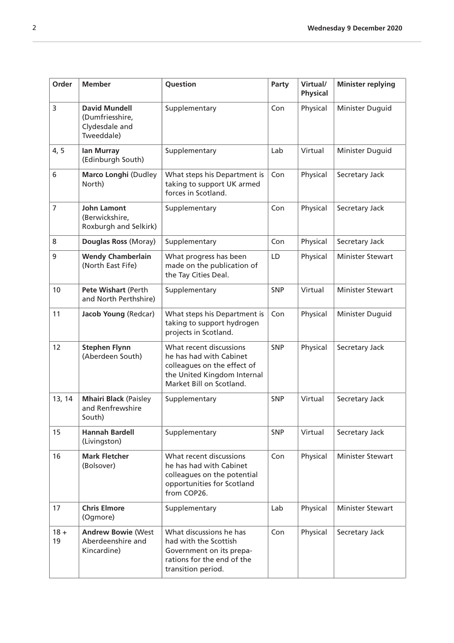| Order        | <b>Member</b>                                                           | Question                                                                                                                                     | Party      | Virtual/<br><b>Physical</b> | <b>Minister replying</b> |
|--------------|-------------------------------------------------------------------------|----------------------------------------------------------------------------------------------------------------------------------------------|------------|-----------------------------|--------------------------|
| 3            | <b>David Mundell</b><br>(Dumfriesshire,<br>Clydesdale and<br>Tweeddale) | Supplementary                                                                                                                                | Con        | Physical                    | Minister Duguid          |
| 4, 5         | <b>Ian Murray</b><br>(Edinburgh South)                                  | Supplementary                                                                                                                                | Lab        | Virtual                     | Minister Duguid          |
| 6            | Marco Longhi (Dudley<br>North)                                          | What steps his Department is<br>taking to support UK armed<br>forces in Scotland.                                                            | Con        | Physical                    | Secretary Jack           |
| 7            | <b>John Lamont</b><br>(Berwickshire,<br>Roxburgh and Selkirk)           | Supplementary                                                                                                                                | Con        | Physical                    | Secretary Jack           |
| 8            | Douglas Ross (Moray)                                                    | Supplementary                                                                                                                                | Con        | Physical                    | Secretary Jack           |
| 9            | <b>Wendy Chamberlain</b><br>(North East Fife)                           | What progress has been<br>made on the publication of<br>the Tay Cities Deal.                                                                 | LD         | Physical                    | <b>Minister Stewart</b>  |
| 10           | Pete Wishart (Perth<br>and North Perthshire)                            | Supplementary                                                                                                                                | <b>SNP</b> | Virtual                     | <b>Minister Stewart</b>  |
| 11           | Jacob Young (Redcar)                                                    | What steps his Department is<br>taking to support hydrogen<br>projects in Scotland.                                                          | Con        | Physical                    | Minister Duguid          |
| 12           | <b>Stephen Flynn</b><br>(Aberdeen South)                                | What recent discussions<br>he has had with Cabinet<br>colleagues on the effect of<br>the United Kingdom Internal<br>Market Bill on Scotland. | <b>SNP</b> | Physical                    | Secretary Jack           |
| 13, 14       | <b>Mhairi Black (Paisley</b><br>and Renfrewshire<br>South)              | Supplementary                                                                                                                                | <b>SNP</b> | Virtual                     | Secretary Jack           |
| 15           | <b>Hannah Bardell</b><br>(Livingston)                                   | Supplementary                                                                                                                                | <b>SNP</b> | Virtual                     | Secretary Jack           |
| 16           | <b>Mark Fletcher</b><br>(Bolsover)                                      | What recent discussions<br>he has had with Cabinet<br>colleagues on the potential<br>opportunities for Scotland<br>from COP26.               | Con        | Physical                    | Minister Stewart         |
| 17           | <b>Chris Elmore</b><br>(Ogmore)                                         | Supplementary                                                                                                                                | Lab        | Physical                    | Minister Stewart         |
| $18 +$<br>19 | <b>Andrew Bowie (West</b><br>Aberdeenshire and<br>Kincardine)           | What discussions he has<br>had with the Scottish<br>Government on its prepa-<br>rations for the end of the<br>transition period.             | Con        | Physical                    | Secretary Jack           |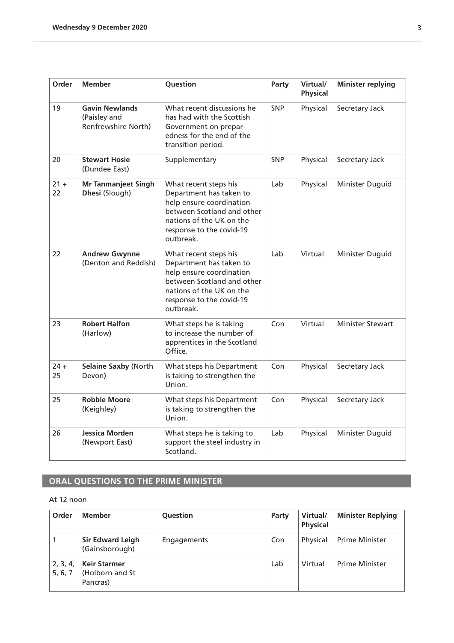<span id="page-2-0"></span>

| Order        | <b>Member</b>                                                | Question                                                                                                                                                                        | Party      | Virtual/<br><b>Physical</b> | <b>Minister replying</b> |
|--------------|--------------------------------------------------------------|---------------------------------------------------------------------------------------------------------------------------------------------------------------------------------|------------|-----------------------------|--------------------------|
| 19           | <b>Gavin Newlands</b><br>(Paisley and<br>Renfrewshire North) | What recent discussions he<br>has had with the Scottish<br>Government on prepar-<br>edness for the end of the<br>transition period.                                             | <b>SNP</b> | Physical                    | Secretary Jack           |
| 20           | <b>Stewart Hosie</b><br>(Dundee East)                        | Supplementary                                                                                                                                                                   | <b>SNP</b> | Physical                    | Secretary Jack           |
| $21 +$<br>22 | <b>Mr Tanmanjeet Singh</b><br>Dhesi (Slough)                 | What recent steps his<br>Department has taken to<br>help ensure coordination<br>between Scotland and other<br>nations of the UK on the<br>response to the covid-19<br>outbreak. | Lab        | Physical                    | Minister Duguid          |
| 22           | <b>Andrew Gwynne</b><br>(Denton and Reddish)                 | What recent steps his<br>Department has taken to<br>help ensure coordination<br>between Scotland and other<br>nations of the UK on the<br>response to the covid-19<br>outbreak. | Lab        | Virtual                     | Minister Duguid          |
| 23           | <b>Robert Halfon</b><br>(Harlow)                             | What steps he is taking<br>to increase the number of<br>apprentices in the Scotland<br>Office.                                                                                  | Con        | Virtual                     | <b>Minister Stewart</b>  |
| $24 +$<br>25 | Selaine Saxby (North<br>Devon)                               | What steps his Department<br>is taking to strengthen the<br>Union.                                                                                                              | Con        | Physical                    | Secretary Jack           |
| 25           | <b>Robbie Moore</b><br>(Keighley)                            | What steps his Department<br>is taking to strengthen the<br>Union.                                                                                                              | Con        | Physical                    | Secretary Jack           |
| 26           | Jessica Morden<br>(Newport East)                             | What steps he is taking to<br>support the steel industry in<br>Scotland.                                                                                                        | Lab        | Physical                    | Minister Duguid          |

## **ORAL QUESTIONS TO THE PRIME MINISTER**

#### At 12 noon

| Order               | <b>Member</b>                                      | Question    | Party | Virtual/<br><b>Physical</b> | <b>Minister Replying</b> |
|---------------------|----------------------------------------------------|-------------|-------|-----------------------------|--------------------------|
|                     | <b>Sir Edward Leigh</b><br>(Gainsborough)          | Engagements | Con   | Physical                    | <b>Prime Minister</b>    |
| 2, 3, 4,<br>5, 6, 7 | <b>Keir Starmer</b><br>(Holborn and St<br>Pancras) |             | Lab   | Virtual                     | <b>Prime Minister</b>    |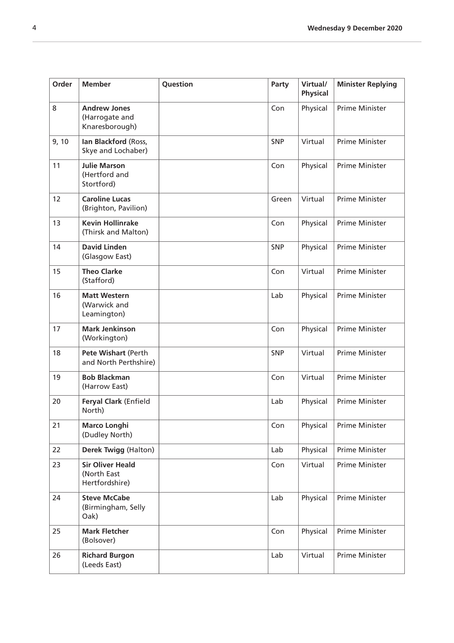| Order | <b>Member</b>                                            | Question | Party      | Virtual/<br><b>Physical</b> | <b>Minister Replying</b> |
|-------|----------------------------------------------------------|----------|------------|-----------------------------|--------------------------|
| 8     | <b>Andrew Jones</b><br>(Harrogate and<br>Knaresborough)  |          | Con        | Physical                    | Prime Minister           |
| 9, 10 | Ian Blackford (Ross,<br>Skye and Lochaber)               |          | SNP        | Virtual                     | <b>Prime Minister</b>    |
| 11    | <b>Julie Marson</b><br>(Hertford and<br>Stortford)       |          | Con        | Physical                    | <b>Prime Minister</b>    |
| 12    | <b>Caroline Lucas</b><br>(Brighton, Pavilion)            |          | Green      | Virtual                     | Prime Minister           |
| 13    | <b>Kevin Hollinrake</b><br>(Thirsk and Malton)           |          | Con        | Physical                    | Prime Minister           |
| 14    | <b>David Linden</b><br>(Glasgow East)                    |          | <b>SNP</b> | Physical                    | Prime Minister           |
| 15    | <b>Theo Clarke</b><br>(Stafford)                         |          | Con        | Virtual                     | <b>Prime Minister</b>    |
| 16    | <b>Matt Western</b><br>(Warwick and<br>Leamington)       |          | Lab        | Physical                    | <b>Prime Minister</b>    |
| 17    | <b>Mark Jenkinson</b><br>(Workington)                    |          | Con        | Physical                    | Prime Minister           |
| 18    | Pete Wishart (Perth<br>and North Perthshire)             |          | <b>SNP</b> | Virtual                     | Prime Minister           |
| 19    | <b>Bob Blackman</b><br>(Harrow East)                     |          | Con        | Virtual                     | Prime Minister           |
| 20    | Feryal Clark (Enfield<br>North)                          |          | Lab        | Physical                    | Prime Minister           |
| 21    | <b>Marco Longhi</b><br>(Dudley North)                    |          | Con        | Physical                    | Prime Minister           |
| 22    | Derek Twigg (Halton)                                     |          | Lab        | Physical                    | Prime Minister           |
| 23    | <b>Sir Oliver Heald</b><br>(North East<br>Hertfordshire) |          | Con        | Virtual                     | Prime Minister           |
| 24    | <b>Steve McCabe</b><br>(Birmingham, Selly<br>Oak)        |          | Lab        | Physical                    | Prime Minister           |
| 25    | <b>Mark Fletcher</b><br>(Bolsover)                       |          | Con        | Physical                    | Prime Minister           |
| 26    | <b>Richard Burgon</b><br>(Leeds East)                    |          | Lab        | Virtual                     | Prime Minister           |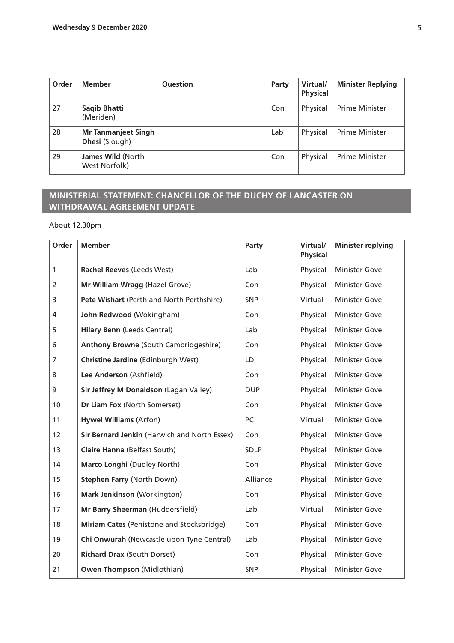<span id="page-4-0"></span>

| Order | <b>Member</b>                                       | Question | Party | Virtual/<br><b>Physical</b> | <b>Minister Replying</b> |
|-------|-----------------------------------------------------|----------|-------|-----------------------------|--------------------------|
| 27    | Saqib Bhatti<br>(Meriden)                           |          | Con   | Physical                    | <b>Prime Minister</b>    |
| 28    | <b>Mr Tanmanjeet Singh</b><br><b>Dhesi</b> (Slough) |          | Lab   | Physical                    | <b>Prime Minister</b>    |
| 29    | James Wild (North<br>West Norfolk)                  |          | Con   | Physical                    | <b>Prime Minister</b>    |

## **MINISTERIAL STATEMENT: CHANCELLOR OF THE DUCHY OF LANCASTER ON WITHDRAWAL AGREEMENT UPDATE**

About 12.30pm

| Order          | <b>Member</b>                                | Party       | Virtual/<br><b>Physical</b> | <b>Minister replying</b> |
|----------------|----------------------------------------------|-------------|-----------------------------|--------------------------|
| $\mathbf{1}$   | Rachel Reeves (Leeds West)                   | Lab         | Physical                    | <b>Minister Gove</b>     |
| $\overline{2}$ | Mr William Wragg (Hazel Grove)               | Con         | Physical                    | <b>Minister Gove</b>     |
| 3              | Pete Wishart (Perth and North Perthshire)    | SNP         | Virtual                     | <b>Minister Gove</b>     |
| 4              | John Redwood (Wokingham)                     | Con         | Physical                    | <b>Minister Gove</b>     |
| 5              | <b>Hilary Benn (Leeds Central)</b>           | Lab         | Physical                    | <b>Minister Gove</b>     |
| 6              | <b>Anthony Browne (South Cambridgeshire)</b> | Con         | Physical                    | <b>Minister Gove</b>     |
| $\overline{7}$ | Christine Jardine (Edinburgh West)           | LD          | Physical                    | <b>Minister Gove</b>     |
| 8              | Lee Anderson (Ashfield)                      | Con         | Physical                    | <b>Minister Gove</b>     |
| 9              | Sir Jeffrey M Donaldson (Lagan Valley)       | <b>DUP</b>  | Physical                    | <b>Minister Gove</b>     |
| 10             | Dr Liam Fox (North Somerset)                 | Con         | Physical                    | <b>Minister Gove</b>     |
| 11             | <b>Hywel Williams (Arfon)</b>                | PC          | Virtual                     | <b>Minister Gove</b>     |
| 12             | Sir Bernard Jenkin (Harwich and North Essex) | Con         | Physical                    | <b>Minister Gove</b>     |
| 13             | Claire Hanna (Belfast South)                 | <b>SDLP</b> | Physical                    | <b>Minister Gove</b>     |
| 14             | Marco Longhi (Dudley North)                  | Con         | Physical                    | <b>Minister Gove</b>     |
| 15             | <b>Stephen Farry (North Down)</b>            | Alliance    | Physical                    | <b>Minister Gove</b>     |
| 16             | Mark Jenkinson (Workington)                  | Con         | Physical                    | <b>Minister Gove</b>     |
| 17             | Mr Barry Sheerman (Huddersfield)             | Lab         | Virtual                     | <b>Minister Gove</b>     |
| 18             | Miriam Cates (Penistone and Stocksbridge)    | Con         | Physical                    | <b>Minister Gove</b>     |
| 19             | Chi Onwurah (Newcastle upon Tyne Central)    | Lab         | Physical                    | <b>Minister Gove</b>     |
| 20             | <b>Richard Drax (South Dorset)</b>           | Con         | Physical                    | <b>Minister Gove</b>     |
| 21             | <b>Owen Thompson (Midlothian)</b>            | SNP         | Physical                    | <b>Minister Gove</b>     |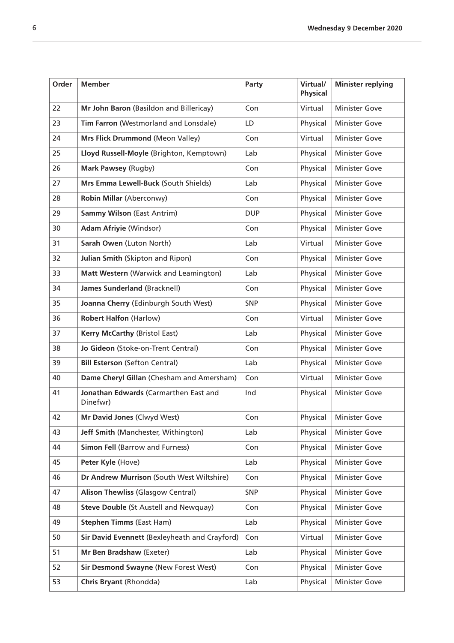| Order | <b>Member</b>                                     | Party      | Virtual/<br><b>Physical</b> | <b>Minister replying</b> |
|-------|---------------------------------------------------|------------|-----------------------------|--------------------------|
| 22    | Mr John Baron (Basildon and Billericay)           | Con        | Virtual                     | <b>Minister Gove</b>     |
| 23    | Tim Farron (Westmorland and Lonsdale)             | LD         | Physical                    | <b>Minister Gove</b>     |
| 24    | Mrs Flick Drummond (Meon Valley)                  | Con        | Virtual                     | <b>Minister Gove</b>     |
| 25    | Lloyd Russell-Moyle (Brighton, Kemptown)          | Lab        | Physical                    | <b>Minister Gove</b>     |
| 26    | Mark Pawsey (Rugby)                               | Con        | Physical                    | <b>Minister Gove</b>     |
| 27    | Mrs Emma Lewell-Buck (South Shields)              | Lab        | Physical                    | <b>Minister Gove</b>     |
| 28    | Robin Millar (Aberconwy)                          | Con        | Physical                    | <b>Minister Gove</b>     |
| 29    | <b>Sammy Wilson (East Antrim)</b>                 | <b>DUP</b> | Physical                    | <b>Minister Gove</b>     |
| 30    | <b>Adam Afriyie (Windsor)</b>                     | Con        | Physical                    | <b>Minister Gove</b>     |
| 31    | Sarah Owen (Luton North)                          | Lab        | Virtual                     | <b>Minister Gove</b>     |
| 32    | Julian Smith (Skipton and Ripon)                  | Con        | Physical                    | <b>Minister Gove</b>     |
| 33    | Matt Western (Warwick and Leamington)             | Lab        | Physical                    | <b>Minister Gove</b>     |
| 34    | <b>James Sunderland (Bracknell)</b>               | Con        | Physical                    | <b>Minister Gove</b>     |
| 35    | Joanna Cherry (Edinburgh South West)              | SNP        | Physical                    | <b>Minister Gove</b>     |
| 36    | <b>Robert Halfon (Harlow)</b>                     | Con        | Virtual                     | <b>Minister Gove</b>     |
| 37    | <b>Kerry McCarthy (Bristol East)</b>              | Lab        | Physical                    | <b>Minister Gove</b>     |
| 38    | Jo Gideon (Stoke-on-Trent Central)                | Con        | Physical                    | <b>Minister Gove</b>     |
| 39    | <b>Bill Esterson (Sefton Central)</b>             | Lab        | Physical                    | <b>Minister Gove</b>     |
| 40    | Dame Cheryl Gillan (Chesham and Amersham)         | Con        | Virtual                     | <b>Minister Gove</b>     |
| 41    | Jonathan Edwards (Carmarthen East and<br>Dinefwr) | Ind        | Physical                    | <b>Minister Gove</b>     |
| 42    | Mr David Jones (Clwyd West)                       | Con        | Physical                    | <b>Minister Gove</b>     |
| 43    | Jeff Smith (Manchester, Withington)               | Lab        | Physical                    | <b>Minister Gove</b>     |
| 44    | <b>Simon Fell (Barrow and Furness)</b>            | Con        | Physical                    | <b>Minister Gove</b>     |
| 45    | Peter Kyle (Hove)                                 | Lab        | Physical                    | <b>Minister Gove</b>     |
| 46    | Dr Andrew Murrison (South West Wiltshire)         | Con        | Physical                    | <b>Minister Gove</b>     |
| 47    | <b>Alison Thewliss (Glasgow Central)</b>          | <b>SNP</b> | Physical                    | <b>Minister Gove</b>     |
| 48    | <b>Steve Double (St Austell and Newquay)</b>      | Con        | Physical                    | <b>Minister Gove</b>     |
| 49    | <b>Stephen Timms (East Ham)</b>                   | Lab        | Physical                    | <b>Minister Gove</b>     |
| 50    | Sir David Evennett (Bexleyheath and Crayford)     | Con        | Virtual                     | <b>Minister Gove</b>     |
| 51    | Mr Ben Bradshaw (Exeter)                          | Lab        | Physical                    | <b>Minister Gove</b>     |
| 52    | Sir Desmond Swayne (New Forest West)              | Con        | Physical                    | <b>Minister Gove</b>     |
| 53    | Chris Bryant (Rhondda)                            | Lab        | Physical                    | <b>Minister Gove</b>     |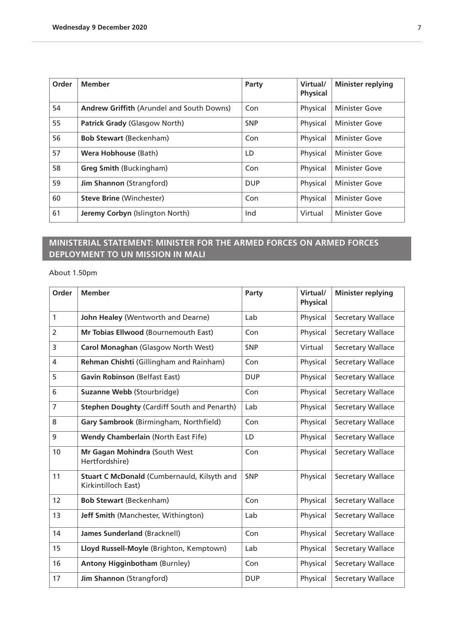<span id="page-6-0"></span>

| Order | <b>Member</b>                             | Party      | Virtual/<br><b>Physical</b> | <b>Minister replying</b> |
|-------|-------------------------------------------|------------|-----------------------------|--------------------------|
| 54    | Andrew Griffith (Arundel and South Downs) | Con        | Physical                    | <b>Minister Gove</b>     |
| 55    | Patrick Grady (Glasgow North)             | <b>SNP</b> | Physical                    | <b>Minister Gove</b>     |
| 56    | <b>Bob Stewart (Beckenham)</b>            | Con        | Physical                    | <b>Minister Gove</b>     |
| 57    | Wera Hobhouse (Bath)                      | LD         | Physical                    | <b>Minister Gove</b>     |
| 58    | <b>Greg Smith (Buckingham)</b>            | Con        | Physical                    | <b>Minister Gove</b>     |
| 59    | <b>Jim Shannon (Strangford)</b>           | <b>DUP</b> | Physical                    | <b>Minister Gove</b>     |
| 60    | <b>Steve Brine (Winchester)</b>           | Con        | Physical                    | <b>Minister Gove</b>     |
| 61    | Jeremy Corbyn (Islington North)           | Ind        | Virtual                     | <b>Minister Gove</b>     |

## **MINISTERIAL STATEMENT: MINISTER FOR THE ARMED FORCES ON ARMED FORCES DEPLOYMENT TO UN MISSION IN MALI**

About 1.50pm

| Order             | <b>Member</b>                                                      | Party      | Virtual/<br><b>Physical</b> | <b>Minister replying</b> |
|-------------------|--------------------------------------------------------------------|------------|-----------------------------|--------------------------|
| 1                 | John Healey (Wentworth and Dearne)                                 | Lab        | Physical                    | <b>Secretary Wallace</b> |
| $\overline{2}$    | Mr Tobias Ellwood (Bournemouth East)                               | Con        | Physical                    | Secretary Wallace        |
| 3                 | Carol Monaghan (Glasgow North West)                                | <b>SNP</b> | Virtual                     | Secretary Wallace        |
| 4                 | Rehman Chishti (Gillingham and Rainham)                            | Con        | Physical                    | Secretary Wallace        |
| 5                 | <b>Gavin Robinson (Belfast East)</b>                               | <b>DUP</b> | Physical                    | Secretary Wallace        |
| 6                 | Suzanne Webb (Stourbridge)                                         | Con        | Physical                    | Secretary Wallace        |
| 7                 | Stephen Doughty (Cardiff South and Penarth)                        | Lab        | Physical                    | Secretary Wallace        |
| 8                 | Gary Sambrook (Birmingham, Northfield)                             | Con        | Physical                    | Secretary Wallace        |
| 9                 | <b>Wendy Chamberlain (North East Fife)</b>                         | LD         | Physical                    | Secretary Wallace        |
| 10                | Mr Gagan Mohindra (South West<br>Hertfordshire)                    | Con        | Physical                    | Secretary Wallace        |
| 11                | Stuart C McDonald (Cumbernauld, Kilsyth and<br>Kirkintilloch East) | <b>SNP</b> | Physical                    | <b>Secretary Wallace</b> |
| $12 \overline{ }$ | <b>Bob Stewart (Beckenham)</b>                                     | Con        | Physical                    | Secretary Wallace        |
| 13                | Jeff Smith (Manchester, Withington)                                | Lab        | Physical                    | Secretary Wallace        |
| 14                | <b>James Sunderland (Bracknell)</b>                                | Con        | Physical                    | Secretary Wallace        |
| 15                | Lloyd Russell-Moyle (Brighton, Kemptown)                           | Lab        | Physical                    | Secretary Wallace        |
| 16                | <b>Antony Higginbotham (Burnley)</b>                               | Con        | Physical                    | Secretary Wallace        |
| 17                | Jim Shannon (Strangford)                                           | <b>DUP</b> | Physical                    | Secretary Wallace        |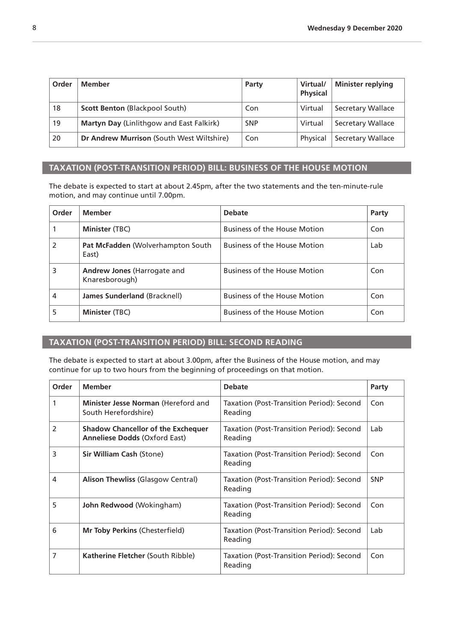<span id="page-7-0"></span>

| Order | Member                                    | Party      | Virtual/<br><b>Physical</b> | <b>Minister replying</b> |
|-------|-------------------------------------------|------------|-----------------------------|--------------------------|
| 18    | <b>Scott Benton (Blackpool South)</b>     | Con        | Virtual                     | Secretary Wallace        |
| 19    | Martyn Day (Linlithgow and East Falkirk)  | <b>SNP</b> | Virtual                     | <b>Secretary Wallace</b> |
| 20    | Dr Andrew Murrison (South West Wiltshire) | Con        | Physical                    | <b>Secretary Wallace</b> |

### **TAXATION (POST-TRANSITION PERIOD) BILL: BUSINESS OF THE HOUSE MOTION**

The debate is expected to start at about 2.45pm, after the two statements and the ten-minute-rule motion, and may continue until 7.00pm.

| Order          | <b>Member</b>                                        | <b>Debate</b>                       | Party |
|----------------|------------------------------------------------------|-------------------------------------|-------|
|                | Minister (TBC)                                       | <b>Business of the House Motion</b> | Con   |
| $\overline{2}$ | <b>Pat McFadden</b> (Wolverhampton South)<br>East)   | <b>Business of the House Motion</b> | Lab   |
| 3              | <b>Andrew Jones (Harrogate and</b><br>Knaresborough) | <b>Business of the House Motion</b> | Con   |
| 4              | James Sunderland (Bracknell)                         | <b>Business of the House Motion</b> | Con   |
| 5              | Minister (TBC)                                       | <b>Business of the House Motion</b> | Con   |

### **TAXATION (POST-TRANSITION PERIOD) BILL: SECOND READING**

The debate is expected to start at about 3.00pm, after the Business of the House motion, and may continue for up to two hours from the beginning of proceedings on that motion.

| Order                    | <b>Member</b>                                                                     | <b>Debate</b>                                        | Party      |
|--------------------------|-----------------------------------------------------------------------------------|------------------------------------------------------|------------|
|                          | Minister Jesse Norman (Hereford and<br>South Herefordshire)                       | Taxation (Post-Transition Period): Second<br>Reading | Con        |
| $\overline{\phantom{a}}$ | <b>Shadow Chancellor of the Exchequer</b><br><b>Anneliese Dodds (Oxford East)</b> | Taxation (Post-Transition Period): Second<br>Reading | Lab        |
| 3                        | <b>Sir William Cash (Stone)</b>                                                   | Taxation (Post-Transition Period): Second<br>Reading | Con        |
| 4                        | <b>Alison Thewliss (Glasgow Central)</b>                                          | Taxation (Post-Transition Period): Second<br>Reading | <b>SNP</b> |
| 5                        | John Redwood (Wokingham)                                                          | Taxation (Post-Transition Period): Second<br>Reading | Con        |
| 6                        | Mr Toby Perkins (Chesterfield)                                                    | Taxation (Post-Transition Period): Second<br>Reading | Lab        |
| 7                        | Katherine Fletcher (South Ribble)                                                 | Taxation (Post-Transition Period): Second<br>Reading | Con        |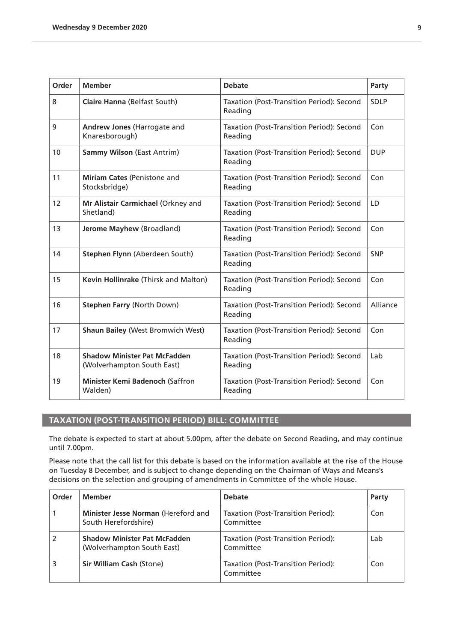<span id="page-8-0"></span>

| Order | <b>Member</b>                                                     | <b>Debate</b>                                        | Party       |
|-------|-------------------------------------------------------------------|------------------------------------------------------|-------------|
| 8     | <b>Claire Hanna (Belfast South)</b>                               | Taxation (Post-Transition Period): Second<br>Reading | <b>SDLP</b> |
| 9     | Andrew Jones (Harrogate and<br>Knaresborough)                     | Taxation (Post-Transition Period): Second<br>Reading | Con         |
| 10    | <b>Sammy Wilson (East Antrim)</b>                                 | Taxation (Post-Transition Period): Second<br>Reading | <b>DUP</b>  |
| 11    | Miriam Cates (Penistone and<br>Stocksbridge)                      | Taxation (Post-Transition Period): Second<br>Reading | Con         |
| 12    | Mr Alistair Carmichael (Orkney and<br>Shetland)                   | Taxation (Post-Transition Period): Second<br>Reading | LD          |
| 13    | Jerome Mayhew (Broadland)                                         | Taxation (Post-Transition Period): Second<br>Reading | Con         |
| 14    | Stephen Flynn (Aberdeen South)                                    | Taxation (Post-Transition Period): Second<br>Reading | <b>SNP</b>  |
| 15    | Kevin Hollinrake (Thirsk and Malton)                              | Taxation (Post-Transition Period): Second<br>Reading | Con         |
| 16    | <b>Stephen Farry (North Down)</b>                                 | Taxation (Post-Transition Period): Second<br>Reading | Alliance    |
| 17    | <b>Shaun Bailey (West Bromwich West)</b>                          | Taxation (Post-Transition Period): Second<br>Reading | Con         |
| 18    | <b>Shadow Minister Pat McFadden</b><br>(Wolverhampton South East) | Taxation (Post-Transition Period): Second<br>Reading | Lab         |
| 19    | Minister Kemi Badenoch (Saffron<br>Walden)                        | Taxation (Post-Transition Period): Second<br>Reading | Con         |

## **TAXATION (POST-TRANSITION PERIOD) BILL: COMMITTEE**

The debate is expected to start at about 5.00pm, after the debate on Second Reading, and may continue until 7.00pm.

Please note that the call list for this debate is based on the information available at the rise of the House on Tuesday 8 December, and is subject to change depending on the Chairman of Ways and Means's decisions on the selection and grouping of amendments in Committee of the whole House.

| Order | <b>Member</b>                                                     | <b>Debate</b>                                   | Party |
|-------|-------------------------------------------------------------------|-------------------------------------------------|-------|
|       | Minister Jesse Norman (Hereford and<br>South Herefordshire)       | Taxation (Post-Transition Period):<br>Committee | Con   |
|       | <b>Shadow Minister Pat McFadden</b><br>(Wolverhampton South East) | Taxation (Post-Transition Period):<br>Committee | Lab   |
|       | <b>Sir William Cash (Stone)</b>                                   | Taxation (Post-Transition Period):<br>Committee | Con   |